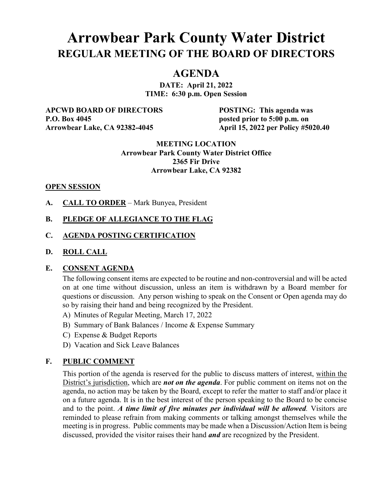# **Arrowbear Park County Water District REGULAR MEETING OF THE BOARD OF DIRECTORS**

## **AGENDA**

**DATE: April 21, 2022 TIME: 6:30 p.m. Open Session**

**APCWD BOARD OF DIRECTORS POSTING: This agenda was P.O. Box 4045 posted prior to 5:00 p.m. on** 

**Arrowbear Lake, CA 92382-4045 April 15, 2022 per Policy #5020.40**

#### **MEETING LOCATION Arrowbear Park County Water District Office 2365 Fir Drive Arrowbear Lake, CA 92382**

#### **OPEN SESSION**

**A. CALL TO ORDER** – Mark Bunyea, President

## **B. PLEDGE OF ALLEGIANCE TO THE FLAG**

#### **C. AGENDA POSTING CERTIFICATION**

#### **D. ROLL CALL**

#### **E. CONSENT AGENDA**

The following consent items are expected to be routine and non-controversial and will be acted on at one time without discussion, unless an item is withdrawn by a Board member for questions or discussion. Any person wishing to speak on the Consent or Open agenda may do so by raising their hand and being recognized by the President.

- A) Minutes of Regular Meeting, March 17, 2022
- B) Summary of Bank Balances / Income & Expense Summary
- C) Expense & Budget Reports
- D) Vacation and Sick Leave Balances

#### **F. PUBLIC COMMENT**

This portion of the agenda is reserved for the public to discuss matters of interest, within the District's jurisdiction, which are *not on the agenda*. For public comment on items not on the agenda, no action may be taken by the Board, except to refer the matter to staff and/or place it on a future agenda. It is in the best interest of the person speaking to the Board to be concise and to the point. *A time limit of five minutes per individual will be allowed.* Visitors are reminded to please refrain from making comments or talking amongst themselves while the meeting is in progress. Public comments may be made when a Discussion/Action Item is being discussed, provided the visitor raises their hand *and* are recognized by the President.